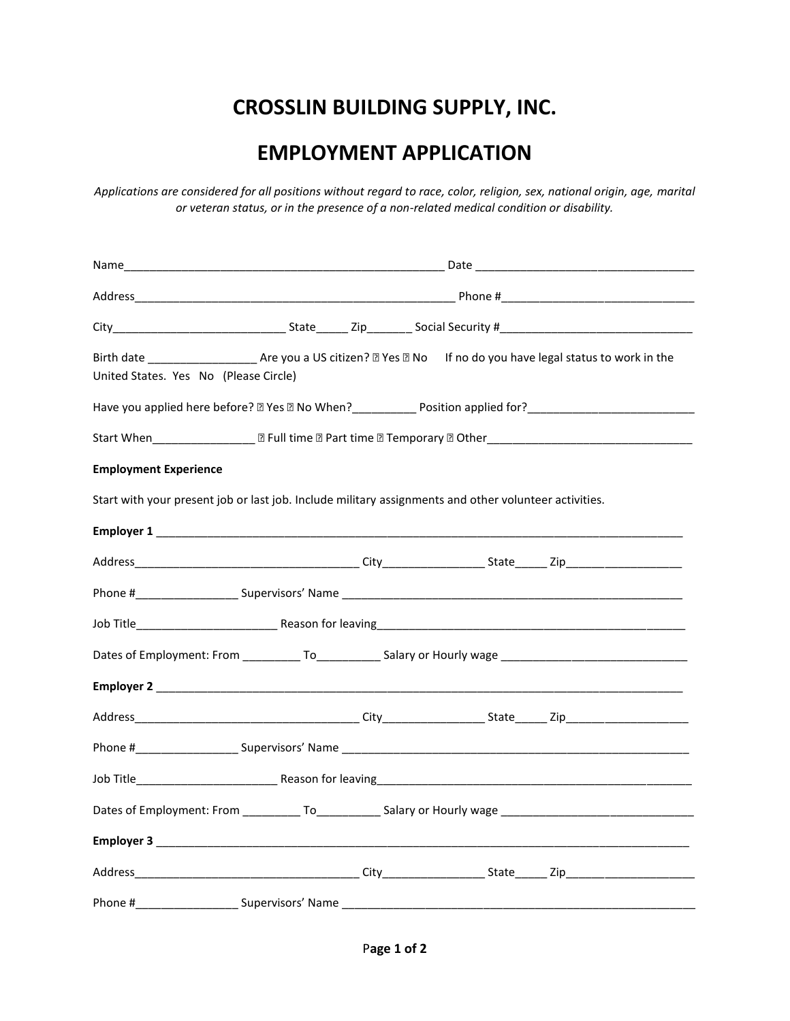## **CROSSLIN BUILDING SUPPLY, INC.**

## **EMPLOYMENT APPLICATION**

*Applications are considered for all positions without regard to race, color, religion, sex, national origin, age, marital or veteran status, or in the presence of a non-related medical condition or disability.*

| City__________________________________State_________Zip___________Social Security #___________________________                                              |  |                                                                                                                |  |  |  |
|-------------------------------------------------------------------------------------------------------------------------------------------------------------|--|----------------------------------------------------------------------------------------------------------------|--|--|--|
| Birth date ________________________ Are you a US citizen? 2 Yes 2 No lf no do you have legal status to work in the<br>United States. Yes No (Please Circle) |  |                                                                                                                |  |  |  |
| Have you applied here before? I Yes I No When? __________________________________                                                                           |  |                                                                                                                |  |  |  |
|                                                                                                                                                             |  |                                                                                                                |  |  |  |
| <b>Employment Experience</b>                                                                                                                                |  |                                                                                                                |  |  |  |
| Start with your present job or last job. Include military assignments and other volunteer activities.                                                       |  |                                                                                                                |  |  |  |
|                                                                                                                                                             |  |                                                                                                                |  |  |  |
|                                                                                                                                                             |  |                                                                                                                |  |  |  |
|                                                                                                                                                             |  |                                                                                                                |  |  |  |
|                                                                                                                                                             |  |                                                                                                                |  |  |  |
|                                                                                                                                                             |  | Dates of Employment: From ______________To_______________Salary or Hourly wage _______________________________ |  |  |  |
|                                                                                                                                                             |  |                                                                                                                |  |  |  |
|                                                                                                                                                             |  |                                                                                                                |  |  |  |
|                                                                                                                                                             |  |                                                                                                                |  |  |  |
|                                                                                                                                                             |  |                                                                                                                |  |  |  |
| Dates of Employment: From ______________To_______________Salary or Hourly wage _______________________________                                              |  |                                                                                                                |  |  |  |
|                                                                                                                                                             |  |                                                                                                                |  |  |  |
|                                                                                                                                                             |  |                                                                                                                |  |  |  |
|                                                                                                                                                             |  |                                                                                                                |  |  |  |